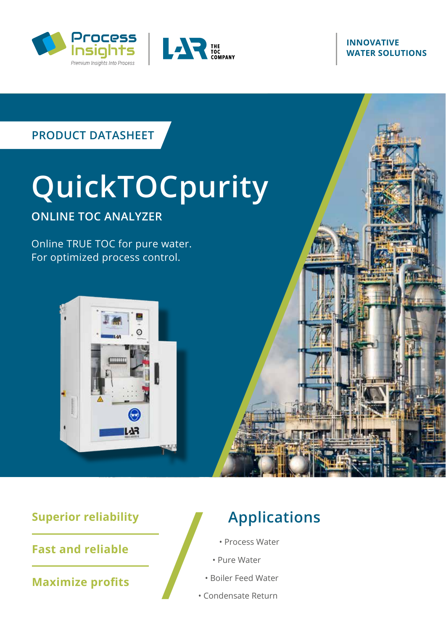



#### **INNOVATIVE WATER SOLUTIONS**

# **PRODUCT DATASHEET**

# **QuickTOCpurity ONLINE TOC ANALYZER**

Online TRUE TOC for pure water. For optimized process control.



# **Superior reliability**

**Fast and reliable**

**Maximize profits** 

# **Applications**

- Process Water
- Pure Water
- Boiler Feed Water
- Condensate Return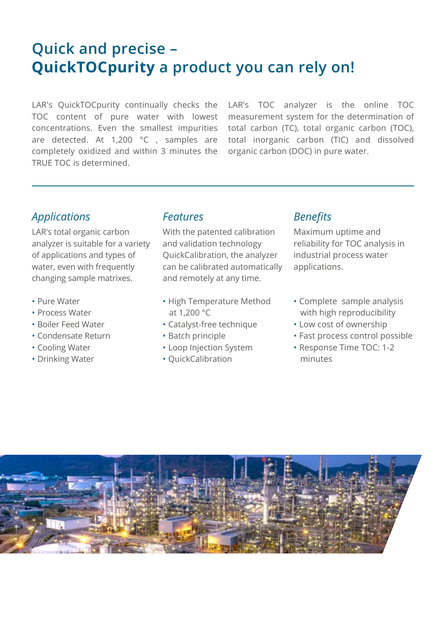# **Quick and precise – QuickTOCpurity a product you can rely on!**

LAR's QuickTOCpurity continually checks the TOC content of pure water with lowest concentrations. Even the smallest impurities are detected. At 1,200 °C , samples are completely oxidized and within 3 minutes the TRUE TOC is determined.

LAR's TOC analyzer is the online TOC measurement system for the determination of total carbon (TC), total organic carbon (TOC), total inorganic carbon (TIC) and dissolved organic carbon (DOC) in pure water.

# *Applications*

LAR's total organic carbon analyzer is suitable for a variety of applications and types of water, even with frequently changing sample matrixes.

- Pure Water
- Process Water
- Boiler Feed Water
- Condensate Return
- Cooling Water
- Drinking Water

#### *Features*

With the patented calibration and validation technology QuickCalibration, the analyzer can be calibrated automatically and remotely at any time.

- High Temperature Method at 1,200 °C
- Catalyst-free technique
- Batch principle
- Loop Injection System
- QuickCalibration

#### *Benefits*

Maximum uptime and reliability for TOC analysis in industrial process water applications.

- Complete sample analysis with high reproducibility
- Low cost of ownership
- Fast process control possible
- Response Time TOC: 1-2 minutes

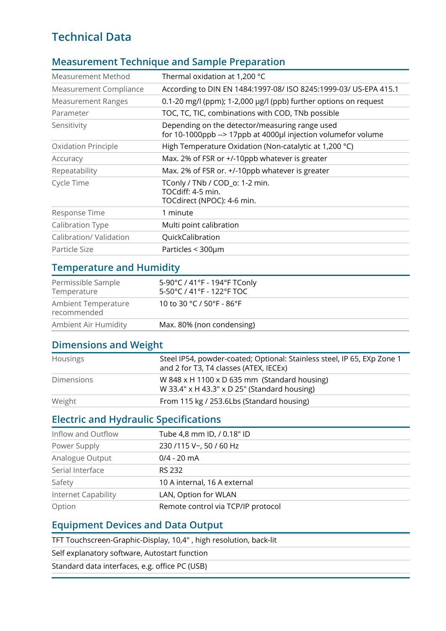# **Technical Data**

#### **Measurement Technique and Sample Preparation**

| Measurement Method         | Thermal oxidation at 1,200 °C                                                                                   |
|----------------------------|-----------------------------------------------------------------------------------------------------------------|
| Measurement Compliance     | According to DIN EN 1484:1997-08/ ISO 8245:1999-03/ US-EPA 415.1                                                |
| <b>Measurement Ranges</b>  | 0.1-20 mg/l (ppm); 1-2,000 µg/l (ppb) further options on request                                                |
| Parameter                  | TOC, TC, TIC, combinations with COD, TNb possible                                                               |
| Sensitivity                | Depending on the detector/measuring range used<br>for 10-1000ppb --> 17ppb at 4000µl injection volumefor volume |
| <b>Oxidation Principle</b> | High Temperature Oxidation (Non-catalytic at 1,200 °C)                                                          |
| Accuracy                   | Max. 2% of FSR or +/-10ppb whatever is greater                                                                  |
| Repeatability              | Max. 2% of FSR or. +/-10ppb whatever is greater                                                                 |
| Cycle Time                 | TConly / TNb / COD_o: 1-2 min.<br>TOCdiff: 4-5 min.<br>TOCdirect (NPOC): 4-6 min.                               |
| Response Time              | 1 minute                                                                                                        |
| Calibration Type           | Multi point calibration                                                                                         |
| Calibration/ Validation    | QuickCalibration                                                                                                |
| Particle Size              | Particles < 300µm                                                                                               |

## **Temperature and Humidity**

| Permissible Sample<br>Temperature  | 5-90°C / 41°F - 194°F TConly<br>$5-50^{\circ}$ C / 41°F - 122°F TOC |  |
|------------------------------------|---------------------------------------------------------------------|--|
| Ambient Temperature<br>recommended | 10 to 30 °C / 50°F - 86°F                                           |  |
| Ambient Air Humidity               | Max. 80% (non condensing)                                           |  |

#### **Dimensions and Weight**

| Housings          | Steel IP54, powder-coated; Optional: Stainless steel, IP 65, EXp Zone 1<br>and 2 for T3, T4 classes (ATEX, IECEx) |
|-------------------|-------------------------------------------------------------------------------------------------------------------|
| <b>Dimensions</b> | W 848 x H 1100 x D 635 mm (Standard housing)<br>W 33.4" x H 43.3" x D 25" (Standard housing)                      |
| Weight            | From 115 kg / 253.6Lbs (Standard housing)                                                                         |

## **Electric and Hydraulic Specifications**

| Inflow and Outflow  | Tube 4,8 mm ID, / 0.18" ID         |
|---------------------|------------------------------------|
| Power Supply        | 230 /115 V~, 50 / 60 Hz            |
| Analogue Output     | $0/4 - 20$ mA                      |
| Serial Interface    | RS 232                             |
| Safety              | 10 A internal, 16 A external       |
| Internet Capability | LAN, Option for WLAN               |
| Option              | Remote control via TCP/IP protocol |

#### **Equipment Devices and Data Output**

TFT Touchscreen-Graphic-Display, 10,4" , high resolution, back-lit

Self explanatory software, Autostart function

Standard data interfaces, e.g. office PC (USB)